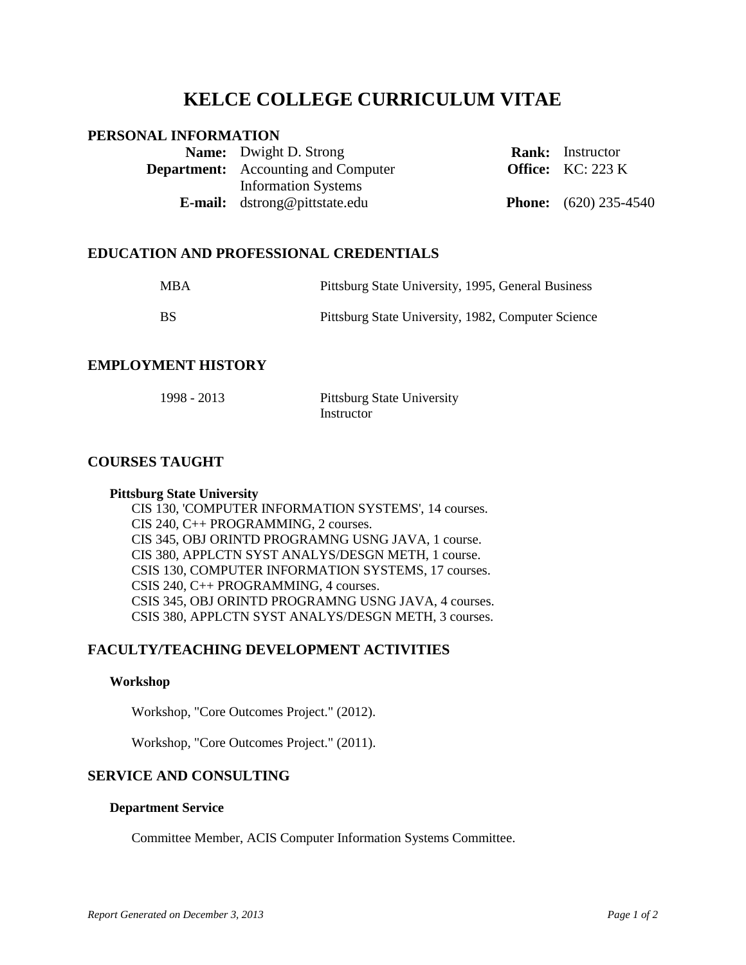# **KELCE COLLEGE CURRICULUM VITAE**

# **PERSONAL INFORMATION**

| <b>Name:</b> Dwight D. Strong              | <b>Rank:</b> Instructor      |
|--------------------------------------------|------------------------------|
| <b>Department:</b> Accounting and Computer | <b>Office:</b> $KC: 223 K$   |
| <b>Information Systems</b>                 |                              |
| <b>E-mail:</b> dstrong@pittstate.edu       | <b>Phone:</b> (620) 235-4540 |

## **EDUCATION AND PROFESSIONAL CREDENTIALS**

| <b>MBA</b> | Pittsburg State University, 1995, General Business |
|------------|----------------------------------------------------|
| - BS       | Pittsburg State University, 1982, Computer Science |

# **EMPLOYMENT HISTORY**

| 1998 - 2013 | <b>Pittsburg State University</b> |
|-------------|-----------------------------------|
|             | Instructor                        |

# **COURSES TAUGHT**

#### **Pittsburg State University**

CIS 130, 'COMPUTER INFORMATION SYSTEMS', 14 courses. CIS 240, C++ PROGRAMMING, 2 courses. CIS 345, OBJ ORINTD PROGRAMNG USNG JAVA, 1 course. CIS 380, APPLCTN SYST ANALYS/DESGN METH, 1 course. CSIS 130, COMPUTER INFORMATION SYSTEMS, 17 courses. CSIS 240, C++ PROGRAMMING, 4 courses. CSIS 345, OBJ ORINTD PROGRAMNG USNG JAVA, 4 courses. CSIS 380, APPLCTN SYST ANALYS/DESGN METH, 3 courses.

# **FACULTY/TEACHING DEVELOPMENT ACTIVITIES**

#### **Workshop**

Workshop, "Core Outcomes Project." (2012).

Workshop, "Core Outcomes Project." (2011).

### **SERVICE AND CONSULTING**

#### **Department Service**

Committee Member, ACIS Computer Information Systems Committee.